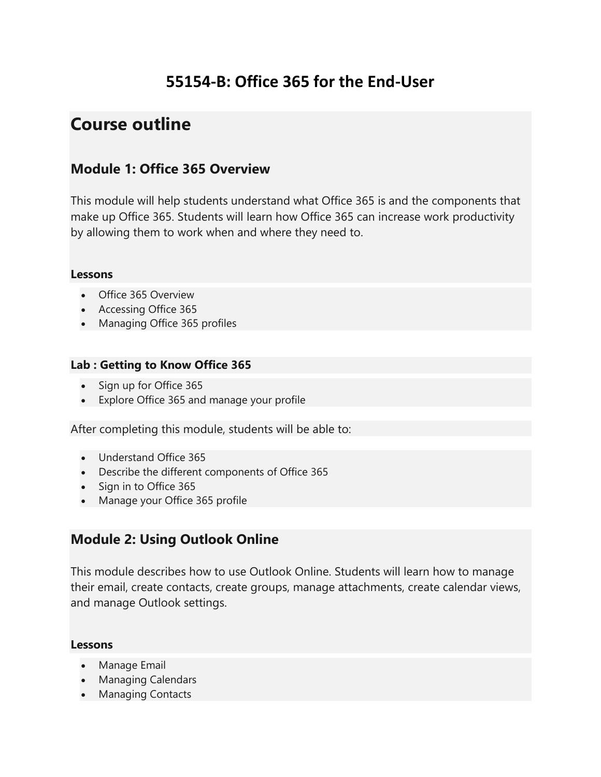## **55154-B: Office 365 for the End-User**

# **Course outline**

## **Module 1: Office 365 Overview**

This module will help students understand what Office 365 is and the components that make up Office 365. Students will learn how Office 365 can increase work productivity by allowing them to work when and where they need to.

#### **Lessons**

- Office 365 Overview
- Accessing Office 365
- Managing Office 365 profiles

### **Lab : Getting to Know Office 365**

- Sign up for Office 365
- Explore Office 365 and manage your profile

After completing this module, students will be able to:

- Understand Office 365
- Describe the different components of Office 365
- Sign in to Office 365
- Manage your Office 365 profile

## **Module 2: Using Outlook Online**

This module describes how to use Outlook Online. Students will learn how to manage their email, create contacts, create groups, manage attachments, create calendar views, and manage Outlook settings.

#### **Lessons**

- Manage Email
- Managing Calendars
- Managing Contacts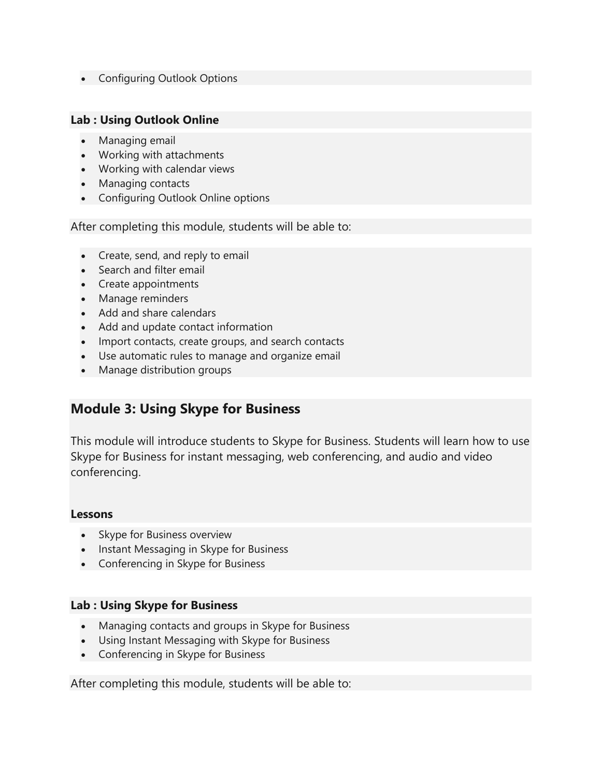Configuring Outlook Options

#### **Lab : Using Outlook Online**

- Managing email
- Working with attachments
- Working with calendar views
- Managing contacts
- Configuring Outlook Online options

After completing this module, students will be able to:

- Create, send, and reply to email
- Search and filter email
- Create appointments
- Manage reminders
- Add and share calendars
- Add and update contact information
- Import contacts, create groups, and search contacts
- Use automatic rules to manage and organize email
- Manage distribution groups

### **Module 3: Using Skype for Business**

This module will introduce students to Skype for Business. Students will learn how to use Skype for Business for instant messaging, web conferencing, and audio and video conferencing.

#### **Lessons**

- Skype for Business overview
- Instant Messaging in Skype for Business
- Conferencing in Skype for Business

#### **Lab : Using Skype for Business**

- Managing contacts and groups in Skype for Business
- Using Instant Messaging with Skype for Business
- Conferencing in Skype for Business

After completing this module, students will be able to: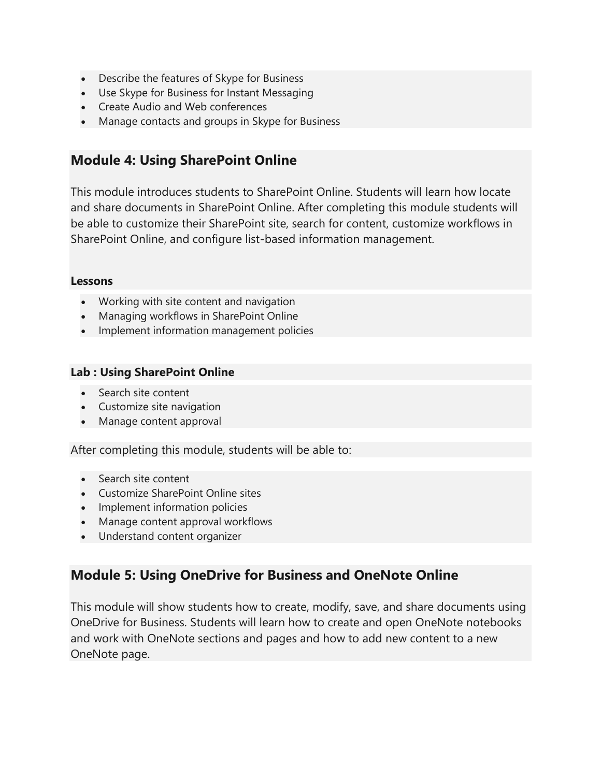- Describe the features of Skype for Business
- Use Skype for Business for Instant Messaging
- Create Audio and Web conferences
- Manage contacts and groups in Skype for Business

### **Module 4: Using SharePoint Online**

This module introduces students to SharePoint Online. Students will learn how locate and share documents in SharePoint Online. After completing this module students will be able to customize their SharePoint site, search for content, customize workflows in SharePoint Online, and configure list-based information management.

#### **Lessons**

- Working with site content and navigation
- Managing workflows in SharePoint Online
- Implement information management policies

#### **Lab : Using SharePoint Online**

- Search site content
- Customize site navigation
- Manage content approval

After completing this module, students will be able to:

- Search site content
- Customize SharePoint Online sites
- Implement information policies
- Manage content approval workflows
- Understand content organizer

### **Module 5: Using OneDrive for Business and OneNote Online**

This module will show students how to create, modify, save, and share documents using OneDrive for Business. Students will learn how to create and open OneNote notebooks and work with OneNote sections and pages and how to add new content to a new OneNote page.